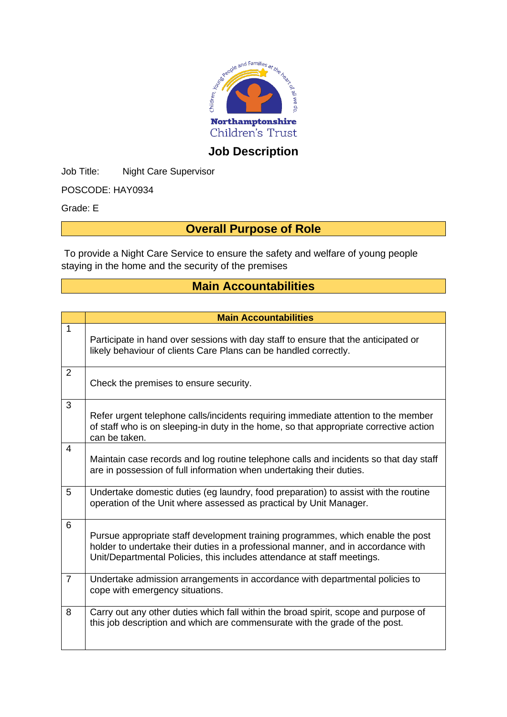

# **Job Description**

Job Title: Night Care Supervisor

POSCODE: HAY0934

Grade: E

### **Overall Purpose of Role**

To provide a Night Care Service to ensure the safety and welfare of young people staying in the home and the security of the premises

#### **Main Accountabilities**

|                | <b>Main Accountabilities</b>                                                                                                                                                                                                                    |
|----------------|-------------------------------------------------------------------------------------------------------------------------------------------------------------------------------------------------------------------------------------------------|
| 1              | Participate in hand over sessions with day staff to ensure that the anticipated or<br>likely behaviour of clients Care Plans can be handled correctly.                                                                                          |
| $\overline{2}$ | Check the premises to ensure security.                                                                                                                                                                                                          |
| 3              | Refer urgent telephone calls/incidents requiring immediate attention to the member<br>of staff who is on sleeping-in duty in the home, so that appropriate corrective action<br>can be taken.                                                   |
| 4              | Maintain case records and log routine telephone calls and incidents so that day staff<br>are in possession of full information when undertaking their duties.                                                                                   |
| 5              | Undertake domestic duties (eg laundry, food preparation) to assist with the routine<br>operation of the Unit where assessed as practical by Unit Manager.                                                                                       |
| 6              | Pursue appropriate staff development training programmes, which enable the post<br>holder to undertake their duties in a professional manner, and in accordance with<br>Unit/Departmental Policies, this includes attendance at staff meetings. |
| $\overline{7}$ | Undertake admission arrangements in accordance with departmental policies to<br>cope with emergency situations.                                                                                                                                 |
| 8              | Carry out any other duties which fall within the broad spirit, scope and purpose of<br>this job description and which are commensurate with the grade of the post.                                                                              |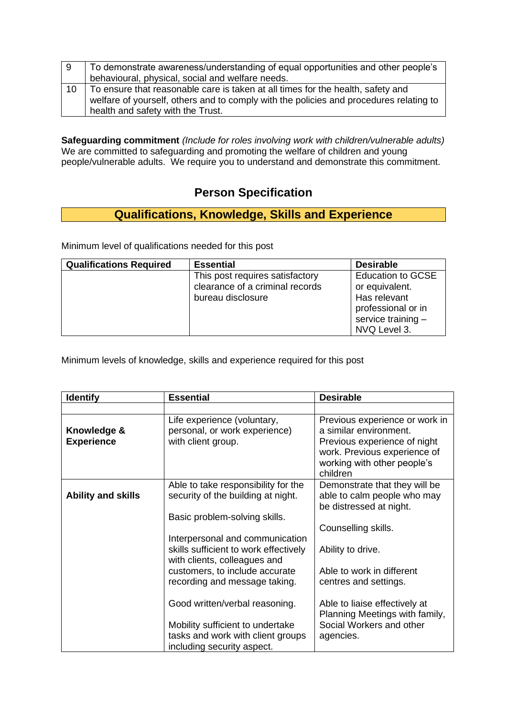| -9 | To demonstrate awareness/understanding of equal opportunities and other people's<br>behavioural, physical, social and welfare needs. |
|----|--------------------------------------------------------------------------------------------------------------------------------------|
| 10 | To ensure that reasonable care is taken at all times for the health, safety and                                                      |
|    | welfare of yourself, others and to comply with the policies and procedures relating to<br>health and safety with the Trust.          |

**Safeguarding commitment** *(Include for roles involving work with children/vulnerable adults)* We are committed to safeguarding and promoting the welfare of children and young people/vulnerable adults. We require you to understand and demonstrate this commitment.

### **Person Specification**

# **Qualifications, Knowledge, Skills and Experience**

Minimum level of qualifications needed for this post

| <b>Qualifications Required</b> | <b>Essential</b>                                                                        | <b>Desirable</b>                                                                                                       |
|--------------------------------|-----------------------------------------------------------------------------------------|------------------------------------------------------------------------------------------------------------------------|
|                                | This post requires satisfactory<br>clearance of a criminal records<br>bureau disclosure | <b>Education to GCSE</b><br>or equivalent.<br>Has relevant<br>professional or in<br>service training -<br>NVQ Level 3. |

Minimum levels of knowledge, skills and experience required for this post

| <b>Identify</b>                  | <b>Essential</b>                                                                                           | <b>Desirable</b>                                                                                                                                                    |
|----------------------------------|------------------------------------------------------------------------------------------------------------|---------------------------------------------------------------------------------------------------------------------------------------------------------------------|
|                                  |                                                                                                            |                                                                                                                                                                     |
| Knowledge &<br><b>Experience</b> | Life experience (voluntary,<br>personal, or work experience)<br>with client group.                         | Previous experience or work in<br>a similar environment.<br>Previous experience of night<br>work. Previous experience of<br>working with other people's<br>children |
| <b>Ability and skills</b>        | Able to take responsibility for the<br>security of the building at night.<br>Basic problem-solving skills. | Demonstrate that they will be<br>able to calm people who may<br>be distressed at night.                                                                             |
|                                  |                                                                                                            | Counselling skills.                                                                                                                                                 |
|                                  | Interpersonal and communication<br>skills sufficient to work effectively<br>with clients, colleagues and   | Ability to drive.                                                                                                                                                   |
|                                  | customers, to include accurate<br>recording and message taking.                                            | Able to work in different<br>centres and settings.                                                                                                                  |
|                                  | Good written/verbal reasoning.                                                                             | Able to liaise effectively at<br>Planning Meetings with family,                                                                                                     |
|                                  | Mobility sufficient to undertake<br>tasks and work with client groups<br>including security aspect.        | Social Workers and other<br>agencies.                                                                                                                               |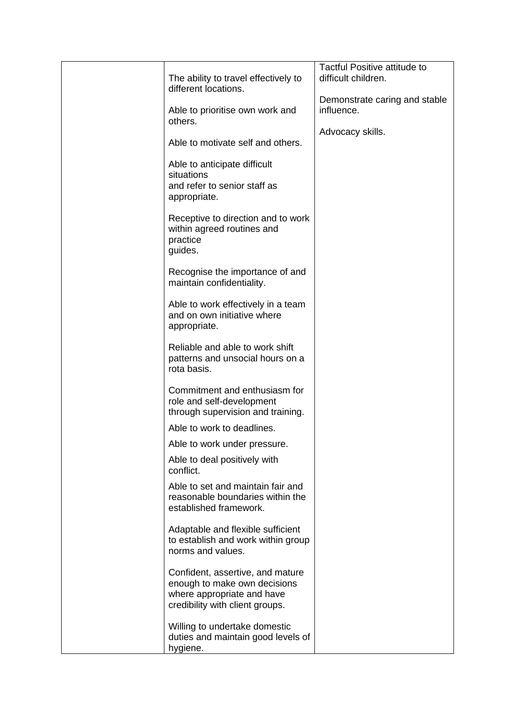|                                                                                                                                   | Tactful Positive attitude to                |
|-----------------------------------------------------------------------------------------------------------------------------------|---------------------------------------------|
| The ability to travel effectively to                                                                                              | difficult children.                         |
| different locations.                                                                                                              |                                             |
| Able to prioritise own work and<br>others.                                                                                        | Demonstrate caring and stable<br>influence. |
|                                                                                                                                   | Advocacy skills.                            |
| Able to motivate self and others.                                                                                                 |                                             |
| Able to anticipate difficult<br>situations<br>and refer to senior staff as<br>appropriate.                                        |                                             |
| Receptive to direction and to work<br>within agreed routines and<br>practice<br>guides.                                           |                                             |
| Recognise the importance of and<br>maintain confidentiality.                                                                      |                                             |
| Able to work effectively in a team<br>and on own initiative where<br>appropriate.                                                 |                                             |
| Reliable and able to work shift<br>patterns and unsocial hours on a<br>rota basis.                                                |                                             |
| Commitment and enthusiasm for<br>role and self-development<br>through supervision and training.                                   |                                             |
| Able to work to deadlines.                                                                                                        |                                             |
| Able to work under pressure.                                                                                                      |                                             |
| Able to deal positively with<br>conflict.                                                                                         |                                             |
| Able to set and maintain fair and<br>reasonable boundaries within the<br>established framework.                                   |                                             |
| Adaptable and flexible sufficient<br>to establish and work within group<br>norms and values.                                      |                                             |
| Confident, assertive, and mature<br>enough to make own decisions<br>where appropriate and have<br>credibility with client groups. |                                             |
| Willing to undertake domestic<br>duties and maintain good levels of<br>hygiene.                                                   |                                             |